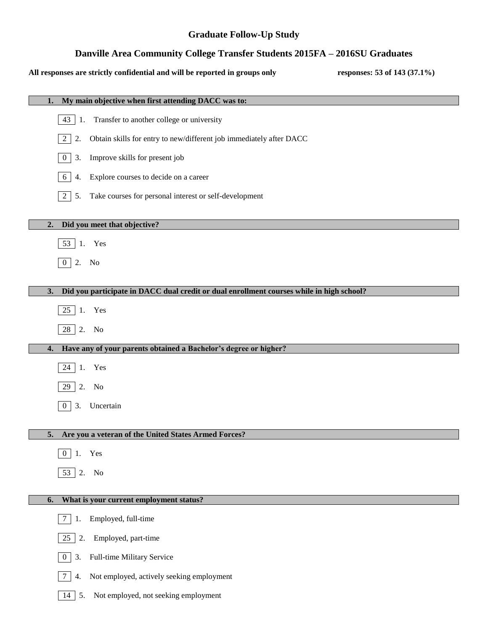### **Graduate Follow-Up Study**

## **Danville Area Community College Transfer Students 2015FA – 2016SU Graduates**

#### **All responses are strictly confidential and will be reported in groups only responses: 53 of 143 (37.1%)**

| My main objective when first attending DACC was to:<br>1.                                      |
|------------------------------------------------------------------------------------------------|
| 43<br>Transfer to another college or university<br> 1.                                         |
| 2<br>Obtain skills for entry to new/different job immediately after DACC<br>2.                 |
| Improve skills for present job<br>$\overline{0}$<br>3.                                         |
| Explore courses to decide on a career<br>6<br>4.                                               |
| 2<br>Take courses for personal interest or self-development<br>5.                              |
| Did you meet that objective?<br>2.                                                             |
| 53 1. Yes                                                                                      |
| 2. No<br>$\overline{0}$                                                                        |
|                                                                                                |
| Did you participate in DACC dual credit or dual enrollment courses while in high school?<br>3. |
| $25$ 1. Yes                                                                                    |
| 28 2. No                                                                                       |
| Have any of your parents obtained a Bachelor's degree or higher?<br>4.                         |
| 24 1. Yes                                                                                      |
| 2. No<br>29                                                                                    |
|                                                                                                |
| $\overline{0}$                                                                                 |
| Uncertain<br>3.                                                                                |
| Are you a veteran of the United States Armed Forces?<br>5.                                     |
| Yes<br>$\theta$                                                                                |
| 53 2. No                                                                                       |
|                                                                                                |
| What is your current employment status?<br>6.                                                  |
| Employed, full-time<br>7<br>1.                                                                 |
| Employed, part-time<br>25<br>2.                                                                |
| Full-time Military Service<br>3.<br>$\overline{0}$                                             |
| Not employed, actively seeking employment<br>7<br>4.                                           |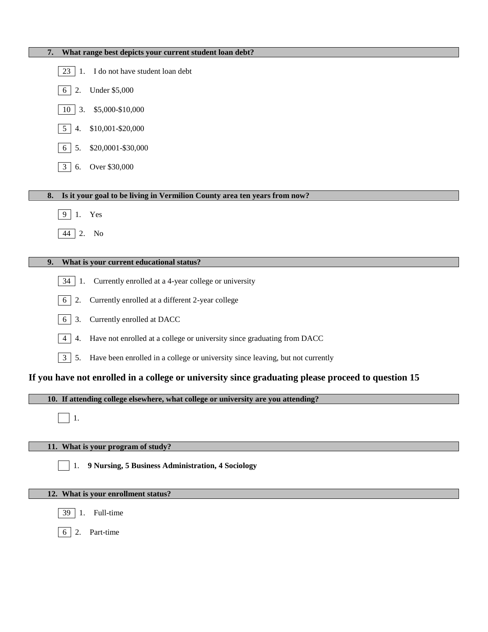| What range best depicts your current student loan debt?<br>7.                                        |
|------------------------------------------------------------------------------------------------------|
| $23 \mid 1$ . I do not have student loan debt                                                        |
| <b>Under \$5,000</b><br>2.<br>6                                                                      |
| \$5,000-\$10,000<br>10 <sup>1</sup><br>3.                                                            |
| \$10,001-\$20,000<br>4.<br>5                                                                         |
| \$20,0001-\$30,000<br>5.<br>6                                                                        |
| Over \$30,000<br>$\mathbf{3}$<br>6.                                                                  |
|                                                                                                      |
| Is it your goal to be living in Vermilion County area ten years from now?<br>8.                      |
| Yes<br>9<br>1.                                                                                       |
| $44 \mid 2.$<br>No                                                                                   |
|                                                                                                      |
| What is your current educational status?<br>9.                                                       |
| Currently enrolled at a 4-year college or university<br>$34 \mid 1$ .                                |
| Currently enrolled at a different 2-year college<br>2.<br>6                                          |
| Currently enrolled at DACC<br>3.<br>6                                                                |
| Have not enrolled at a college or university since graduating from DACC<br>4<br>4.                   |
| $\mathbf{3}$<br>Have been enrolled in a college or university since leaving, but not currently<br>5. |
| If you have not enrolled in a college or university since graduating please proceed to question 15   |
| 10. If attending college elsewhere, what college or university are you attending?                    |
| -1.                                                                                                  |
| 11. What is your program of study?                                                                   |
| 9 Nursing, 5 Business Administration, 4 Sociology<br>1.                                              |
| 12. What is your enrollment status?                                                                  |
| Full-time<br>39<br>1.                                                                                |
| 2. Part-time<br>6                                                                                    |
|                                                                                                      |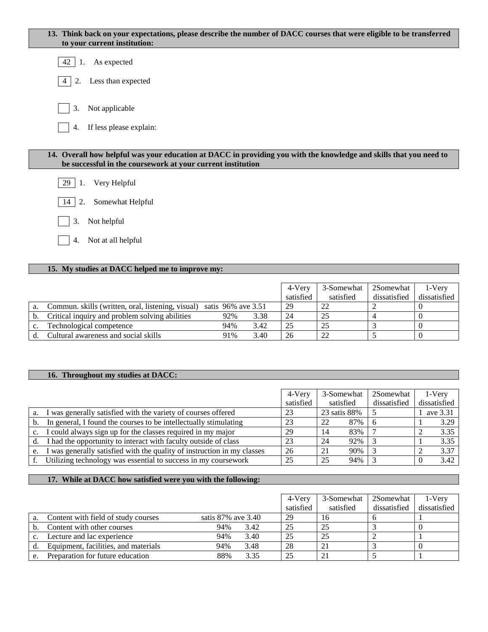| 13. Think back on your expectations, please describe the number of DACC courses that were eligible to be transferred<br>to your current institution:                              |
|-----------------------------------------------------------------------------------------------------------------------------------------------------------------------------------|
| As expected<br>42<br>$\cdot$ 1.                                                                                                                                                   |
| Less than expected<br>2.<br>4                                                                                                                                                     |
| Not applicable<br>3.<br>If less please explain:<br>4.                                                                                                                             |
| 14. Overall how helpful was your education at DACC in providing you with the knowledge and skills that you need to<br>be successful in the coursework at your current institution |
| Very Helpful<br>29                                                                                                                                                                |
| Somewhat Helpful<br>14<br>2.                                                                                                                                                      |
| Not helpful<br>3.                                                                                                                                                                 |
| Not at all helpful<br>4.                                                                                                                                                          |

# **15. My studies at DACC helped me to improve my:**

|    |                                                                      |     |      | 4-Very    | 3-Somewhat | 2Somewhat    | 1-Verv       |
|----|----------------------------------------------------------------------|-----|------|-----------|------------|--------------|--------------|
|    |                                                                      |     |      | satisfied | satisfied  | dissatisfied | dissatisfied |
| a. | Commun. skills (written, oral, listening, visual) satis 96% ave 3.51 |     |      | 29        |            |              |              |
|    | Critical inquiry and problem solving abilities                       | 92% | 3.38 | 24        | 25         |              |              |
|    | Technological competence                                             | 94% | 3.42 | 25        | 25         |              |              |
|    | Cultural awareness and social skills                                 | 91% | 3.40 | 26        |            |              |              |

# **16. Throughout my studies at DACC:**

|                |                                                                         | 4-Very    | 3-Somewhat   | 2Somewhat    | 1-Very       |
|----------------|-------------------------------------------------------------------------|-----------|--------------|--------------|--------------|
|                |                                                                         | satisfied | satisfied    | dissatisfied | dissatisfied |
| a.             | I was generally satisfied with the variety of courses offered           | 23        | 23 satis 88% |              | ave 3.31     |
| $\mathbf{b}$ . | In general, I found the courses to be intellectually stimulating        | 23        | $87\%$<br>22 | - 6          | 3.29         |
| $c_{\cdot}$    | I could always sign up for the classes required in my major             | 29        | 83%<br>14    |              | 3.35         |
| d.             | I had the opportunity to interact with faculty outside of class         | 23        | 92%<br>24    |              | 3.35         |
| e.             | I was generally satisfied with the quality of instruction in my classes | 26        | 90%<br>21    |              | 3.37         |
| f.             | Utilizing technology was essential to success in my coursework          | 25        | 94%<br>25    |              | 3.42         |

### **17. While at DACC how satisfied were you with the following:**

|                |                                      |                    | 4-Very    | 3-Somewhat | 2Somewhat    | 1-Very       |
|----------------|--------------------------------------|--------------------|-----------|------------|--------------|--------------|
|                |                                      |                    | satisfied | satisfied  | dissatisfied | dissatisfied |
|                | Content with field of study courses  | satis 87% ave 3.40 | 29        | 16         |              |              |
|                | Content with other courses           | 94%<br>3.42        |           | 25         |              |              |
| C <sub>1</sub> | Lecture and lac experience           | 94%<br>3.40        | 25        | 25         |              |              |
|                | Equipment, facilities, and materials | 3.48<br>94%        | 28        | 21         |              |              |
|                | Preparation for future education     | 3.35<br>88%        | 25        | 21         |              |              |